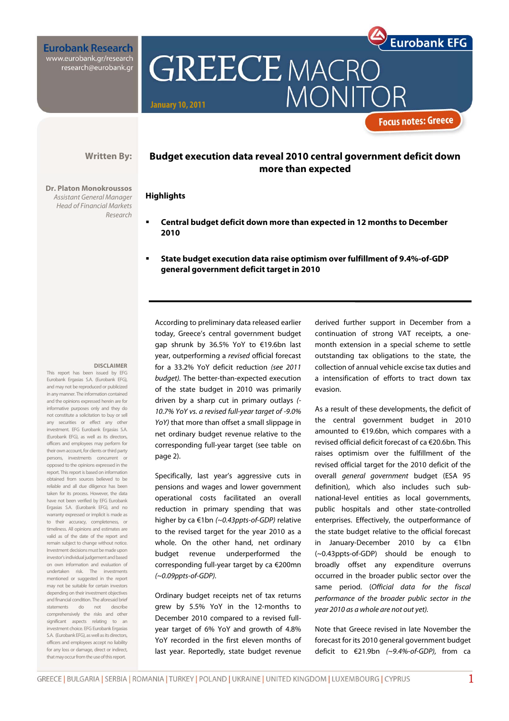**Eurobank Research** www.eurobank.gr/research research@eurobank.gr

**Written By:** 

Research

**Dr. Platon Monokroussos**  Assistant General Manager Head of Financial Markets **Budget execution data reveal 2010 central government deficit down more than expected** 

**MONIT** 

**GREECE MACRO** 

## **Highlights**

**January 10, 2011** 

- **Central budget deficit down more than expected in 12 months to December 2010**
- **State budget execution data raise optimism over fulfillment of 9.4%-of-GDP general government deficit target in 2010**

#### **DISCLAIMER**

This report has been issued by EFG Eurobank Ergasias S.A. (Eurobank EFG), and may not be reproduced or publicized in any manner. The information contained and the opinions expressed herein are for informative purposes only and they do not constitute a solicitation to buy or sell any securities or effect any other investment. EFG Eurobank Ergasias S.A. (Eurobank EFG), as well as its directors, officers and employees may perform for their own account, for clients or third party persons, investments concurrent or opposed to the opinions expressed in the report. This report is based on information obtained from sources believed to be reliable and all due diligence has been taken for its process. However, the data have not been verified by EFG Eurobank Ergasias S.A. (Eurobank EFG), and no warranty expressed or implicit is made as to their accuracy, completeness, or timeliness. All opinions and estimates are valid as of the date of the report and remain subject to change without notice. Investment decisions must be made upon investor's individual judgement and based on own information and evaluation of undertaken risk. The investments mentioned or suggested in the report may not be suitable for certain investors depending on their investment objectives and financial condition. The aforesaid brief statements do not describe comprehensively the risks and other significant aspects relating to an investment choice. EFG Eurobank Ergasias S.A. (Eurobank EFG), as well as its directors, officers and employees accept no liability for any loss or damage, direct or indirect, that may occur from the use of this report.

According to preliminary data released earlier today, Greece's central government budget gap shrunk by 36.5% YoY to €19.6bn last year, outperforming a revised official forecast for a 33.2% YoY deficit reduction (see 2011 budget). The better-than-expected execution of the state budget in 2010 was primarily driven by a sharp cut in primary outlays (- 10.7% YoY vs. a revised full-year target of -9.0% YoY) that more than offset a small slippage in net ordinary budget revenue relative to the corresponding full-year target (see table on page 2).

Specifically, last year's aggressive cuts in pensions and wages and lower government operational costs facilitated an overall reduction in primary spending that was higher by ca €1bn (~0.43ppts-of-GDP) relative to the revised target for the year 2010 as a whole. On the other hand, net ordinary budget revenue underperformed the corresponding full-year target by ca €200mn (~0.09ppts-of-GDP).

Ordinary budget receipts net of tax returns grew by 5.5% YoY in the 12-months to December 2010 compared to a revised fullyear target of 6% YoY and growth of 4.8% YoY recorded in the first eleven months of last year. Reportedly, state budget revenue

derived further support in December from a continuation of strong VAT receipts, a onemonth extension in a special scheme to settle outstanding tax obligations to the state, the collection of annual vehicle excise tax duties and a intensification of efforts to tract down tax evasion.

**Eurobank EFG** 

**Focus notes: Greece** 

As a result of these developments, the deficit of the central government budget in 2010 amounted to €19.6bn, which compares with a revised official deficit forecast of ca €20.6bn. This raises optimism over the fulfillment of the revised official target for the 2010 deficit of the overall general government budget (ESA 95 definition), which also includes such subnational-level entities as local governments, public hospitals and other state-controlled enterprises. Effectively, the outperformance of the state budget relative to the official forecast in January-December 2010 by ca €1bn (~0.43ppts-of-GDP) should be enough to broadly offset any expenditure overruns occurred in the broader public sector over the same period. (Official data for the fiscal performance of the broader public sector in the year 2010 as a whole are not out yet).

Note that Greece revised in late November the forecast for its 2010 general government budget deficit to €21.9bn (~9.4%-of-GDP), from ca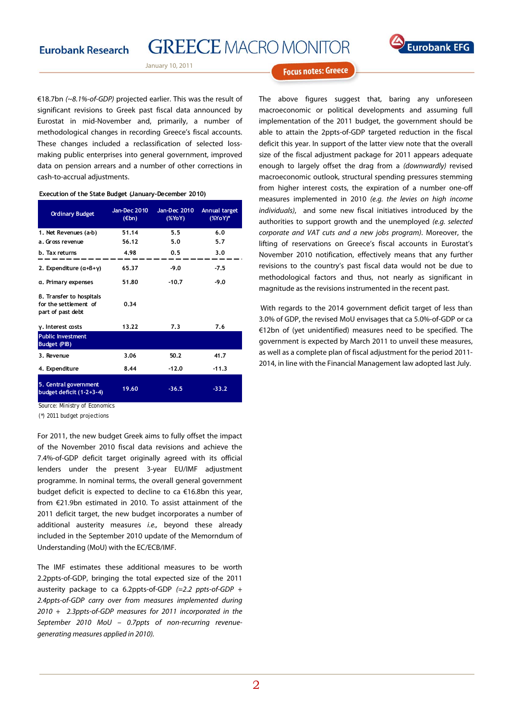

January 10, 2011

€18.7bn (~8.1%-of-GDP) projected earlier. This was the result of significant revisions to Greek past fiscal data announced by Eurostat in mid-November and, primarily, a number of methodological changes in recording Greece's fiscal accounts. These changes included a reclassification of selected lossmaking public enterprises into general government, improved data on pension arrears and a number of other corrections in cash-to-accrual adjustments.

#### **Execution of the State Budget (January-December 2010)**

| <b>Ordinary Budget</b>                                                 | Jan-Dec 2010<br>$(\epsilon$ bn) | Jan-Dec 2010<br>(XYoY) | Annual target<br>$(%YoY)^*$ |
|------------------------------------------------------------------------|---------------------------------|------------------------|-----------------------------|
| 1. Net Revenues (a-b)                                                  | 51.14                           | 5.5                    | 6.0                         |
| a. Gross revenue                                                       | 56.12                           | 5.0                    | 5.7                         |
| b. Tax returns                                                         | 4.98                            | 0.5                    | 3.0                         |
| 2. Expenditure $(a+B+\gamma)$                                          | 65.37                           | $-9.0$                 | $-7.5$                      |
| a. Primary expenses                                                    | 51.80                           | $-10.7$                | $-9.0$                      |
| B. Transfer to hospitals<br>for the settlement of<br>part of past debt | 0.34                            |                        |                             |
| $\gamma$ . Interest costs                                              | 13.22                           | 7.3                    | 7.6                         |
| <b>Public Investment</b><br><b>Budget (PIB)</b>                        |                                 |                        |                             |
| 3. Revenue                                                             | 3.06                            | 50.2                   | 41.7                        |
| 4. Expenditure                                                         | 8.44                            | $-12.0$                | $-11.3$                     |
| 5. Central government<br>budget deficit (1-2+3-4)                      | 19.60                           | $-36.5$                | $-33.2$                     |

Source: Ministry of Economics

(\*) 2011 budget projections

For 2011, the new budget Greek aims to fully offset the impact of the November 2010 fiscal data revisions and achieve the 7.4%-of-GDP deficit target originally agreed with its official lenders under the present 3-year EU/IMF adjustment programme. In nominal terms, the overall general government budget deficit is expected to decline to ca €16.8bn this year, from €21.9bn estimated in 2010. To assist attainment of the 2011 deficit target, the new budget incorporates a number of additional austerity measures *i.e.*, beyond these already included in the September 2010 update of the Memorndum of Understanding (MoU) with the EC/ECB/IMF.

The IMF estimates these additional measures to be worth 2.2ppts-of-GDP, bringing the total expected size of the 2011 austerity package to ca 6.2ppts-of-GDP  $(=2.2 \text{ ppts-of-GDP } +$ 2.4ppts-of-GDP carry over from measures implemented during 2010 + 2.3ppts-of-GDP measures for 2011 incorporated in the September 2010 MoU – 0.7ppts of non-recurring revenuegenerating measures applied in 2010).

**Focus notes: Greece** 

The above figures suggest that, baring any unforeseen macroeconomic or political developments and assuming full implementation of the 2011 budget, the government should be able to attain the 2ppts-of-GDP targeted reduction in the fiscal deficit this year. In support of the latter view note that the overall size of the fiscal adjustment package for 2011 appears adequate enough to largely offset the drag from a (downwardly) revised macroeconomic outlook, structural spending pressures stemming from higher interest costs, the expiration of a number one-off measures implemented in 2010 (e.g. the levies on high income individuals), and some new fiscal initiatives introduced by the authorities to support growth and the unemployed (e.g. selected corporate and VAT cuts and a new jobs program). Moreover, the lifting of reservations on Greece's fiscal accounts in Eurostat's November 2010 notification, effectively means that any further revisions to the country's past fiscal data would not be due to methodological factors and thus, not nearly as significant in magnitude as the revisions instrumented in the recent past.

 With regards to the 2014 government deficit target of less than 3.0% of GDP, the revised MoU envisages that ca 5.0%-of-GDP or ca €12bn of (yet unidentified) measures need to be specified. The government is expected by March 2011 to unveil these measures, as well as a complete plan of fiscal adjustment for the period 2011- 2014, in line with the Financial Management law adopted last July.